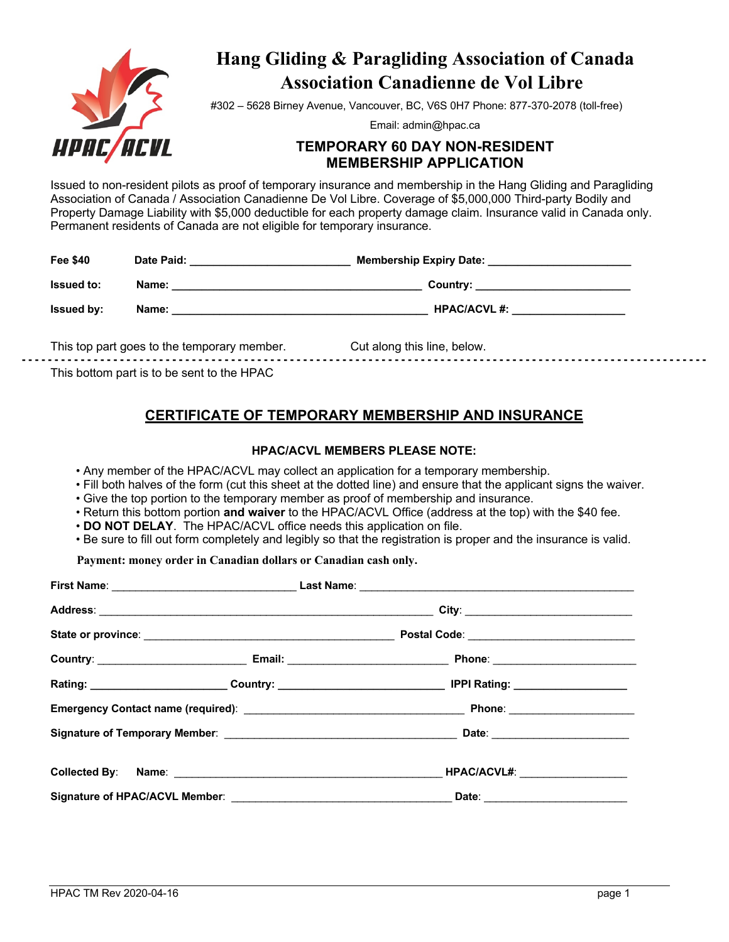

# **Hang Gliding & Paragliding Association of Canada Association Canadienne de Vol Libre**

#302 – 5628 Birney Avenue, Vancouver, BC, V6S 0H7 Phone: 877-370-2078 (toll-free)

Email: admin@hpac.ca

# **TEMPORARY 60 DAY NON-RESIDENT MEMBERSHIP APPLICATION**

Issued to non-resident pilots as proof of temporary insurance and membership in the Hang Gliding and Paragliding Association of Canada / Association Canadienne De Vol Libre. Coverage of \$5,000,000 Third-party Bodily and Property Damage Liability with \$5,000 deductible for each property damage claim. Insurance valid in Canada only. Permanent residents of Canada are not eligible for temporary insurance.

| <b>Fee \$40</b>   | Date Paid: | <b>Membership Expiry Date:</b><br>the control of the control of the control of the control of the control of the control of the control of the control of the control of the control of the control of the control of the control of the control of the control |
|-------------------|------------|-----------------------------------------------------------------------------------------------------------------------------------------------------------------------------------------------------------------------------------------------------------------|
| <b>Issued to:</b> | Name:      | Country: _________________________                                                                                                                                                                                                                              |
| <b>Issued by:</b> | Name:      | <b>HPAC/ACVL#:</b>                                                                                                                                                                                                                                              |
|                   |            |                                                                                                                                                                                                                                                                 |

This top part goes to the temporary member. Cut along this line, below. **- - - - - - - - - - - - - - - - - - - - - - - - - - - - - - - - - - - - - - - - - - - - - - - - - - - - - - - - - - - - - - - - - - - - - - - - - - - - - - - - - - - - - - - - - - - - - - - - - - - - - - - - -** This bottom part is to be sent to the HPAC

# **CERTIFICATE OF TEMPORARY MEMBERSHIP AND INSURANCE**

### **HPAC/ACVL MEMBERS PLEASE NOTE:**

• Any member of the HPAC/ACVL may collect an application for a temporary membership.

• Fill both halves of the form (cut this sheet at the dotted line) and ensure that the applicant signs the waiver.

- Give the top portion to the temporary member as proof of membership and insurance.
- Return this bottom portion **and waiver** to the HPAC/ACVL Office (address at the top) with the \$40 fee.
- **DO NOT DELAY**. The HPAC/ACVL office needs this application on file.
- Be sure to fill out form completely and legibly so that the registration is proper and the insurance is valid.

**Payment: money order in Canadian dollars or Canadian cash only.**

| Rating: _____________________________Country: ___________________________________ IPPI Rating: _______________ |
|----------------------------------------------------------------------------------------------------------------|
|                                                                                                                |
|                                                                                                                |
| <b>HPAC/ACVL#: _____________________</b>                                                                       |
| Date: ________________________                                                                                 |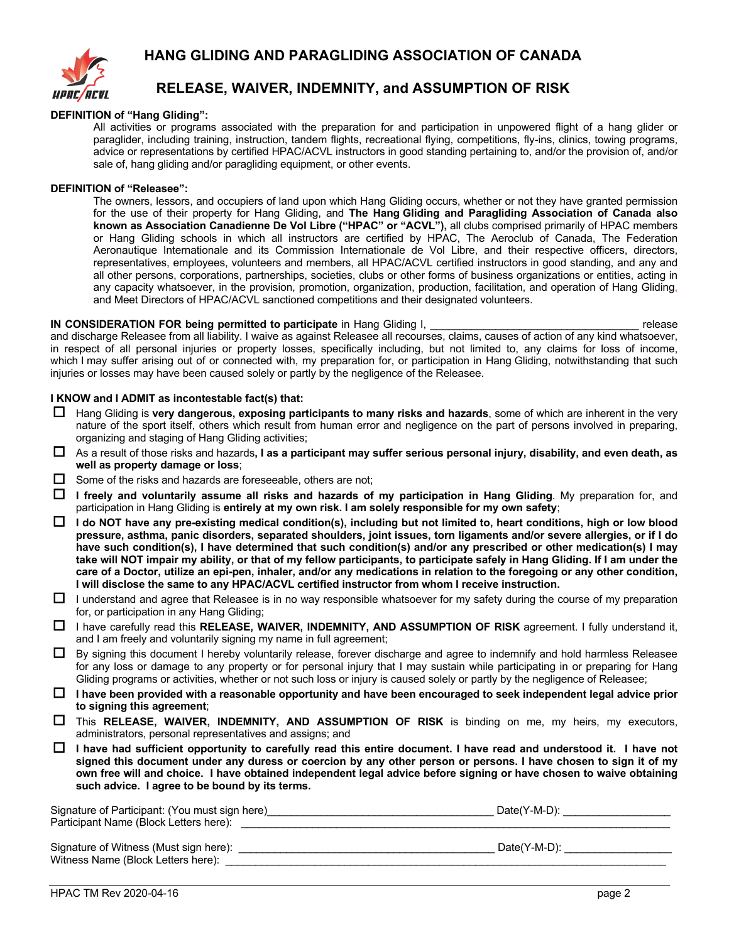

# **HANG GLIDING AND PARAGLIDING ASSOCIATION OF CANADA**

## **RELEASE, WAIVER, INDEMNITY, and ASSUMPTION OF RISK**

#### **DEFINITION of "Hang Gliding":**

All activities or programs associated with the preparation for and participation in unpowered flight of a hang glider or paraglider, including training, instruction, tandem flights, recreational flying, competitions, fly-ins, clinics, towing programs, advice or representations by certified HPAC/ACVL instructors in good standing pertaining to, and/or the provision of, and/or sale of, hang gliding and/or paragliding equipment, or other events.

#### **DEFINITION of "Releasee":**

The owners, lessors, and occupiers of land upon which Hang Gliding occurs, whether or not they have granted permission for the use of their property for Hang Gliding, and **The Hang Gliding and Paragliding Association of Canada also known as Association Canadienne De Vol Libre ("HPAC" or "ACVL"),** all clubs comprised primarily of HPAC members or Hang Gliding schools in which all instructors are certified by HPAC, The Aeroclub of Canada, The Federation Aeronautique Internationale and its Commission Internationale de Vol Libre, and their respective officers, directors, representatives, employees, volunteers and members, all HPAC/ACVL certified instructors in good standing, and any and all other persons, corporations, partnerships, societies, clubs or other forms of business organizations or entities, acting in any capacity whatsoever, in the provision, promotion, organization, production, facilitation, and operation of Hang Gliding, and Meet Directors of HPAC/ACVL sanctioned competitions and their designated volunteers.

#### **IN CONSIDERATION FOR being permitted to participate** in Hang Gliding I, **Example 20** in the state of the state of the state of the state of the state of the state of the state of the state of the state of the state of the

and discharge Releasee from all liability. I waive as against Releasee all recourses, claims, causes of action of any kind whatsoever, in respect of all personal injuries or property losses, specifically including, but not limited to, any claims for loss of income, which I may suffer arising out of or connected with, my preparation for, or participation in Hang Gliding, notwithstanding that such injuries or losses may have been caused solely or partly by the negligence of the Releasee.

#### **I KNOW and I ADMIT as incontestable fact(s) that:**

- □ Hang Gliding is very dangerous, exposing participants to many risks and hazards, some of which are inherent in the very nature of the sport itself, others which result from human error and negligence on the part of persons involved in preparing, organizing and staging of Hang Gliding activities;
- ¨ As a result of those risks and hazards**, I as a participant may suffer serious personal injury, disability, and even death, as well as property damage or loss**;
- $\Box$  Some of the risks and hazards are foreseeable, others are not;
- □ I freely and voluntarily assume all risks and hazards of my participation in Hang Gliding. My preparation for, and participation in Hang Gliding is **entirely at my own risk. I am solely responsible for my own safety**;
- ¨ **I do NOT have any pre-existing medical condition(s), including but not limited to, heart conditions, high or low blood pressure, asthma, panic disorders, separated shoulders, joint issues, torn ligaments and/or severe allergies, or if I do have such condition(s), I have determined that such condition(s) and/or any prescribed or other medication(s) I may take will NOT impair my ability, or that of my fellow participants, to participate safely in Hang Gliding. If I am under the care of a Doctor, utilize an epi-pen, inhaler, and/or any medications in relation to the foregoing or any other condition, I will disclose the same to any HPAC/ACVL certified instructor from whom I receive instruction.**
- $\Box$  I understand and agree that Releasee is in no way responsible whatsoever for my safety during the course of my preparation for, or participation in any Hang Gliding;
- ¨ I have carefully read this **RELEASE, WAIVER, INDEMNITY, AND ASSUMPTION OF RISK** agreement. I fully understand it, and I am freely and voluntarily signing my name in full agreement;
- $\Box$  By signing this document I hereby voluntarily release, forever discharge and agree to indemnify and hold harmless Releasee for any loss or damage to any property or for personal injury that I may sustain while participating in or preparing for Hang Gliding programs or activities, whether or not such loss or injury is caused solely or partly by the negligence of Releasee;
- $\Box$  I have been provided with a reasonable opportunity and have been encouraged to seek independent legal advice prior **to signing this agreement**;
- □ This **RELEASE, WAIVER, INDEMNITY, AND ASSUMPTION OF RISK** is binding on me, my heirs, my executors, administrators, personal representatives and assigns; and
- $\Box$  I have had sufficient opportunity to carefully read this entire document. I have read and understood it. I have not **signed this document under any duress or coercion by any other person or persons. I have chosen to sign it of my own free will and choice. I have obtained independent legal advice before signing or have chosen to waive obtaining such advice. I agree to be bound by its terms.**

| Signature of Participant: (You must sign here) | Date(Y-M-D): |
|------------------------------------------------|--------------|
| Participant Name (Block Letters here):         |              |
| Signature of Witness (Must sign here):         | Date(Y-M-D): |
| Witness Name (Block Letters here):             |              |